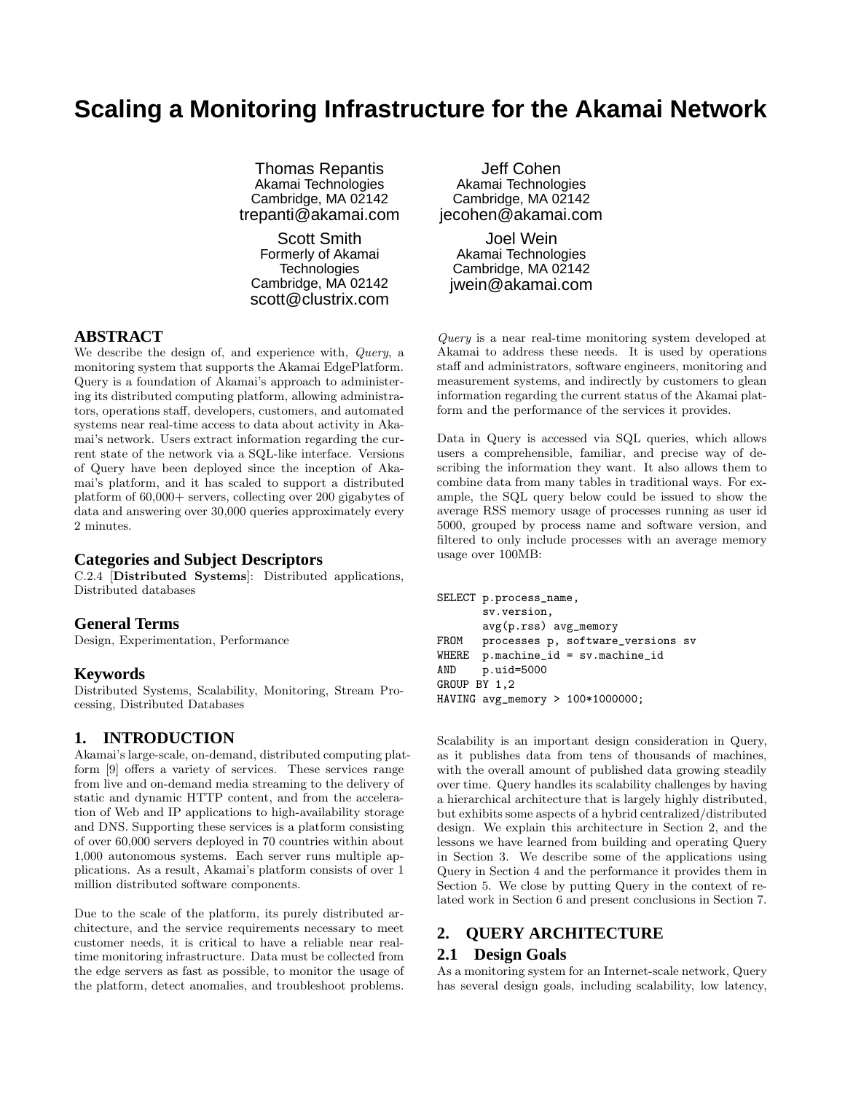# **Scaling a Monitoring Infrastructure for the Akamai Network**

Thomas Repantis Akamai Technologies Cambridge, MA 02142 trepanti@akamai.com

Scott Smith Formerly of Akamai **Technologies** Cambridge, MA 02142 scott@clustrix.com

## **ABSTRACT**

We describe the design of, and experience with, *Query*, a monitoring system that supports the Akamai EdgePlatform. Query is a foundation of Akamai's approach to administering its distributed computing platform, allowing administrators, operations staff, developers, customers, and automated systems near real-time access to data about activity in Akamai's network. Users extract information regarding the current state of the network via a SQL-like interface. Versions of Query have been deployed since the inception of Akamai's platform, and it has scaled to support a distributed platform of 60,000+ servers, collecting over 200 gigabytes of data and answering over 30,000 queries approximately every 2 minutes.

#### **Categories and Subject Descriptors**

C.2.4 [Distributed Systems]: Distributed applications, Distributed databases

#### **General Terms**

Design, Experimentation, Performance

#### **Keywords**

Distributed Systems, Scalability, Monitoring, Stream Processing, Distributed Databases

#### **1. INTRODUCTION**

Akamai's large-scale, on-demand, distributed computing platform [9] offers a variety of services. These services range from live and on-demand media streaming to the delivery of static and dynamic HTTP content, and from the acceleration of Web and IP applications to high-availability storage and DNS. Supporting these services is a platform consisting of over 60,000 servers deployed in 70 countries within about 1,000 autonomous systems. Each server runs multiple applications. As a result, Akamai's platform consists of over 1 million distributed software components.

Due to the scale of the platform, its purely distributed architecture, and the service requirements necessary to meet customer needs, it is critical to have a reliable near realtime monitoring infrastructure. Data must be collected from the edge servers as fast as possible, to monitor the usage of the platform, detect anomalies, and troubleshoot problems.

Jeff Cohen Akamai Technologies Cambridge, MA 02142 jecohen@akamai.com

Joel Wein Akamai Technologies Cambridge, MA 02142 jwein@akamai.com

Query is a near real-time monitoring system developed at Akamai to address these needs. It is used by operations staff and administrators, software engineers, monitoring and measurement systems, and indirectly by customers to glean information regarding the current status of the Akamai platform and the performance of the services it provides.

Data in Query is accessed via SQL queries, which allows users a comprehensible, familiar, and precise way of describing the information they want. It also allows them to combine data from many tables in traditional ways. For example, the SQL query below could be issued to show the average RSS memory usage of processes running as user id 5000, grouped by process name and software version, and filtered to only include processes with an average memory usage over 100MB:

```
SELECT p.process_name,
       sv.version,
       avg(p.rss) avg_memory
FROM processes p, software_versions sv
WHERE p.machine_id = sv.machine_id
AND p.uid=5000
GROUP BY 1,2
HAVING avg_memory > 100*1000000;
```
Scalability is an important design consideration in Query, as it publishes data from tens of thousands of machines, with the overall amount of published data growing steadily over time. Query handles its scalability challenges by having a hierarchical architecture that is largely highly distributed, but exhibits some aspects of a hybrid centralized/distributed design. We explain this architecture in Section 2, and the lessons we have learned from building and operating Query in Section 3. We describe some of the applications using Query in Section 4 and the performance it provides them in Section 5. We close by putting Query in the context of related work in Section 6 and present conclusions in Section 7.

## **2. QUERY ARCHITECTURE**

#### **2.1 Design Goals**

As a monitoring system for an Internet-scale network, Query has several design goals, including scalability, low latency,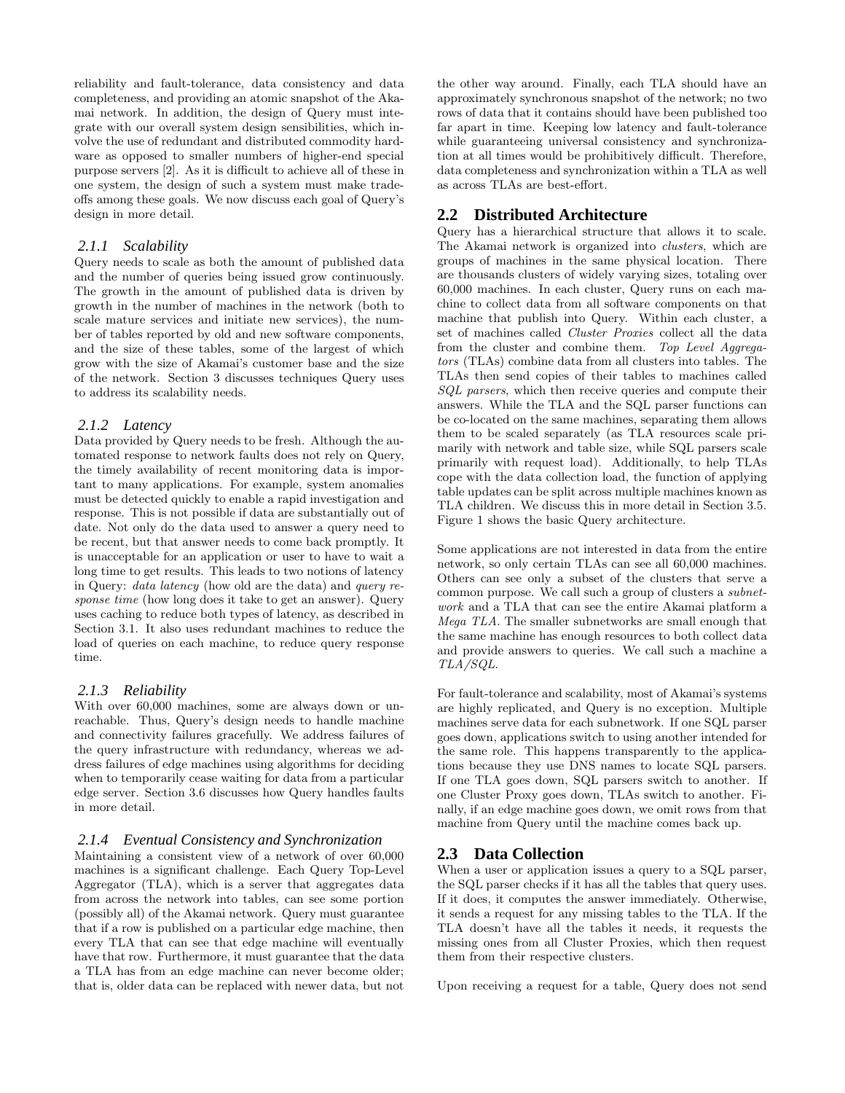reliability and fault-tolerance, data consistency and data completeness, and providing an atomic snapshot of the Akamai network. In addition, the design of Query must integrate with our overall system design sensibilities, which involve the use of redundant and distributed commodity hardware as opposed to smaller numbers of higher-end special purpose servers [2]. As it is difficult to achieve all of these in one system, the design of such a system must make tradeoffs among these goals. We now discuss each goal of Query's design in more detail.

#### *2.1.1 Scalability*

Query needs to scale as both the amount of published data and the number of queries being issued grow continuously. The growth in the amount of published data is driven by growth in the number of machines in the network (both to scale mature services and initiate new services), the number of tables reported by old and new software components, and the size of these tables, some of the largest of which grow with the size of Akamai's customer base and the size of the network. Section 3 discusses techniques Query uses to address its scalability needs.

## *2.1.2 Latency*

Data provided by Query needs to be fresh. Although the automated response to network faults does not rely on Query, the timely availability of recent monitoring data is important to many applications. For example, system anomalies must be detected quickly to enable a rapid investigation and response. This is not possible if data are substantially out of date. Not only do the data used to answer a query need to be recent, but that answer needs to come back promptly. It is unacceptable for an application or user to have to wait a long time to get results. This leads to two notions of latency in Query: data latency (how old are the data) and query response time (how long does it take to get an answer). Query uses caching to reduce both types of latency, as described in Section 3.1. It also uses redundant machines to reduce the load of queries on each machine, to reduce query response time.

## *2.1.3 Reliability*

With over 60,000 machines, some are always down or unreachable. Thus, Query's design needs to handle machine and connectivity failures gracefully. We address failures of the query infrastructure with redundancy, whereas we address failures of edge machines using algorithms for deciding when to temporarily cease waiting for data from a particular edge server. Section 3.6 discusses how Query handles faults in more detail.

#### *2.1.4 Eventual Consistency and Synchronization*

Maintaining a consistent view of a network of over 60,000 machines is a significant challenge. Each Query Top-Level Aggregator (TLA), which is a server that aggregates data from across the network into tables, can see some portion (possibly all) of the Akamai network. Query must guarantee that if a row is published on a particular edge machine, then every TLA that can see that edge machine will eventually have that row. Furthermore, it must guarantee that the data a TLA has from an edge machine can never become older; that is, older data can be replaced with newer data, but not

the other way around. Finally, each TLA should have an approximately synchronous snapshot of the network; no two rows of data that it contains should have been published too far apart in time. Keeping low latency and fault-tolerance while guaranteeing universal consistency and synchronization at all times would be prohibitively difficult. Therefore, data completeness and synchronization within a TLA as well as across TLAs are best-effort.

# **2.2 Distributed Architecture**

Query has a hierarchical structure that allows it to scale. The Akamai network is organized into *clusters*, which are groups of machines in the same physical location. There are thousands clusters of widely varying sizes, totaling over 60,000 machines. In each cluster, Query runs on each machine to collect data from all software components on that machine that publish into Query. Within each cluster, a set of machines called Cluster Proxies collect all the data from the cluster and combine them. Top Level Aggregators (TLAs) combine data from all clusters into tables. The TLAs then send copies of their tables to machines called SQL parsers, which then receive queries and compute their answers. While the TLA and the SQL parser functions can be co-located on the same machines, separating them allows them to be scaled separately (as TLA resources scale primarily with network and table size, while SQL parsers scale primarily with request load). Additionally, to help TLAs cope with the data collection load, the function of applying table updates can be split across multiple machines known as TLA children. We discuss this in more detail in Section 3.5. Figure 1 shows the basic Query architecture.

Some applications are not interested in data from the entire network, so only certain TLAs can see all 60,000 machines. Others can see only a subset of the clusters that serve a common purpose. We call such a group of clusters a subnetwork and a TLA that can see the entire Akamai platform a Mega TLA. The smaller subnetworks are small enough that the same machine has enough resources to both collect data and provide answers to queries. We call such a machine a TLA/SQL.

For fault-tolerance and scalability, most of Akamai's systems are highly replicated, and Query is no exception. Multiple machines serve data for each subnetwork. If one SQL parser goes down, applications switch to using another intended for the same role. This happens transparently to the applications because they use DNS names to locate SQL parsers. If one TLA goes down, SQL parsers switch to another. If one Cluster Proxy goes down, TLAs switch to another. Finally, if an edge machine goes down, we omit rows from that machine from Query until the machine comes back up.

# **2.3 Data Collection**

When a user or application issues a query to a SQL parser, the SQL parser checks if it has all the tables that query uses. If it does, it computes the answer immediately. Otherwise, it sends a request for any missing tables to the TLA. If the TLA doesn't have all the tables it needs, it requests the missing ones from all Cluster Proxies, which then request them from their respective clusters.

Upon receiving a request for a table, Query does not send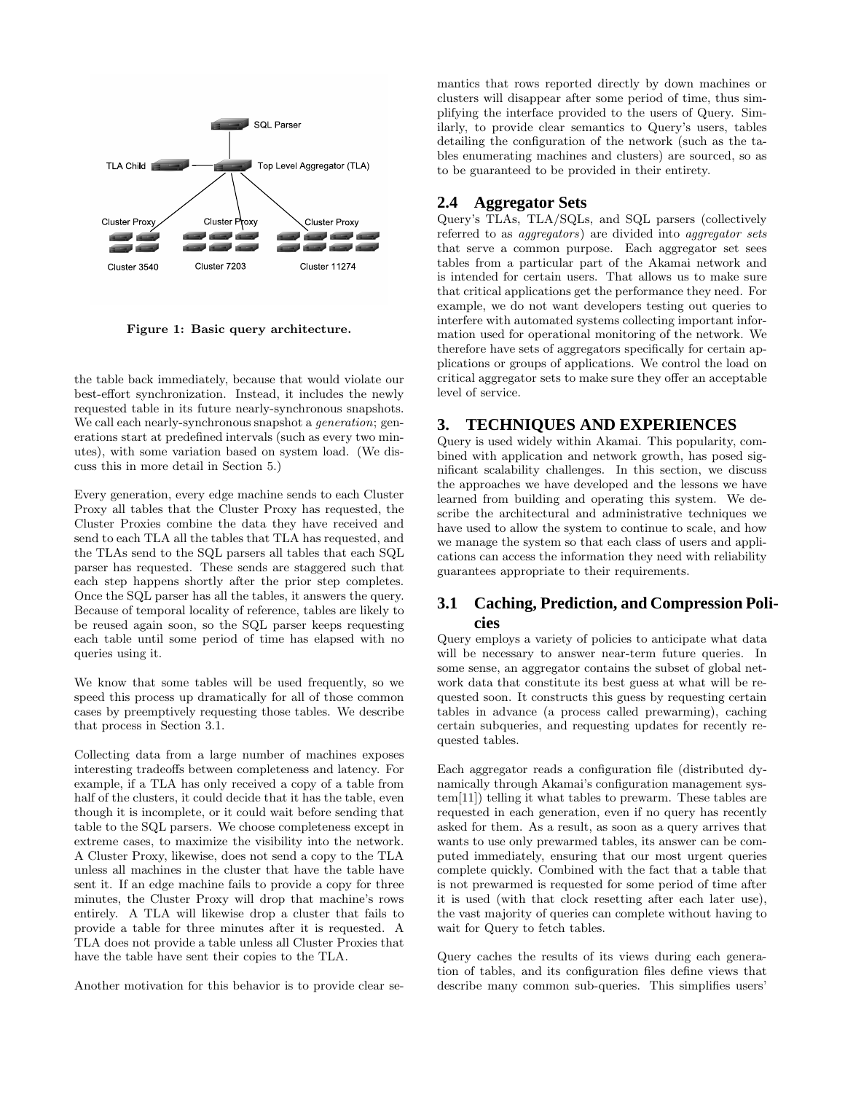

Figure 1: Basic query architecture.

the table back immediately, because that would violate our best-effort synchronization. Instead, it includes the newly requested table in its future nearly-synchronous snapshots. We call each nearly-synchronous snapshot a *generation*; generations start at predefined intervals (such as every two minutes), with some variation based on system load. (We discuss this in more detail in Section 5.)

Every generation, every edge machine sends to each Cluster Proxy all tables that the Cluster Proxy has requested, the Cluster Proxies combine the data they have received and send to each TLA all the tables that TLA has requested, and the TLAs send to the SQL parsers all tables that each SQL parser has requested. These sends are staggered such that each step happens shortly after the prior step completes. Once the SQL parser has all the tables, it answers the query. Because of temporal locality of reference, tables are likely to be reused again soon, so the SQL parser keeps requesting each table until some period of time has elapsed with no queries using it.

We know that some tables will be used frequently, so we speed this process up dramatically for all of those common cases by preemptively requesting those tables. We describe that process in Section 3.1.

Collecting data from a large number of machines exposes interesting tradeoffs between completeness and latency. For example, if a TLA has only received a copy of a table from half of the clusters, it could decide that it has the table, even though it is incomplete, or it could wait before sending that table to the SQL parsers. We choose completeness except in extreme cases, to maximize the visibility into the network. A Cluster Proxy, likewise, does not send a copy to the TLA unless all machines in the cluster that have the table have sent it. If an edge machine fails to provide a copy for three minutes, the Cluster Proxy will drop that machine's rows entirely. A TLA will likewise drop a cluster that fails to provide a table for three minutes after it is requested. A TLA does not provide a table unless all Cluster Proxies that have the table have sent their copies to the TLA.

Another motivation for this behavior is to provide clear se-

mantics that rows reported directly by down machines or clusters will disappear after some period of time, thus simplifying the interface provided to the users of Query. Similarly, to provide clear semantics to Query's users, tables detailing the configuration of the network (such as the tables enumerating machines and clusters) are sourced, so as to be guaranteed to be provided in their entirety.

#### **2.4 Aggregator Sets**

Query's TLAs, TLA/SQLs, and SQL parsers (collectively referred to as aggregators) are divided into aggregator sets that serve a common purpose. Each aggregator set sees tables from a particular part of the Akamai network and is intended for certain users. That allows us to make sure that critical applications get the performance they need. For example, we do not want developers testing out queries to interfere with automated systems collecting important information used for operational monitoring of the network. We therefore have sets of aggregators specifically for certain applications or groups of applications. We control the load on critical aggregator sets to make sure they offer an acceptable level of service.

#### **3. TECHNIQUES AND EXPERIENCES**

Query is used widely within Akamai. This popularity, combined with application and network growth, has posed significant scalability challenges. In this section, we discuss the approaches we have developed and the lessons we have learned from building and operating this system. We describe the architectural and administrative techniques we have used to allow the system to continue to scale, and how we manage the system so that each class of users and applications can access the information they need with reliability guarantees appropriate to their requirements.

## **3.1 Caching, Prediction, and Compression Policies**

Query employs a variety of policies to anticipate what data will be necessary to answer near-term future queries. In some sense, an aggregator contains the subset of global network data that constitute its best guess at what will be requested soon. It constructs this guess by requesting certain tables in advance (a process called prewarming), caching certain subqueries, and requesting updates for recently requested tables.

Each aggregator reads a configuration file (distributed dynamically through Akamai's configuration management system[11]) telling it what tables to prewarm. These tables are requested in each generation, even if no query has recently asked for them. As a result, as soon as a query arrives that wants to use only prewarmed tables, its answer can be computed immediately, ensuring that our most urgent queries complete quickly. Combined with the fact that a table that is not prewarmed is requested for some period of time after it is used (with that clock resetting after each later use), the vast majority of queries can complete without having to wait for Query to fetch tables.

Query caches the results of its views during each generation of tables, and its configuration files define views that describe many common sub-queries. This simplifies users'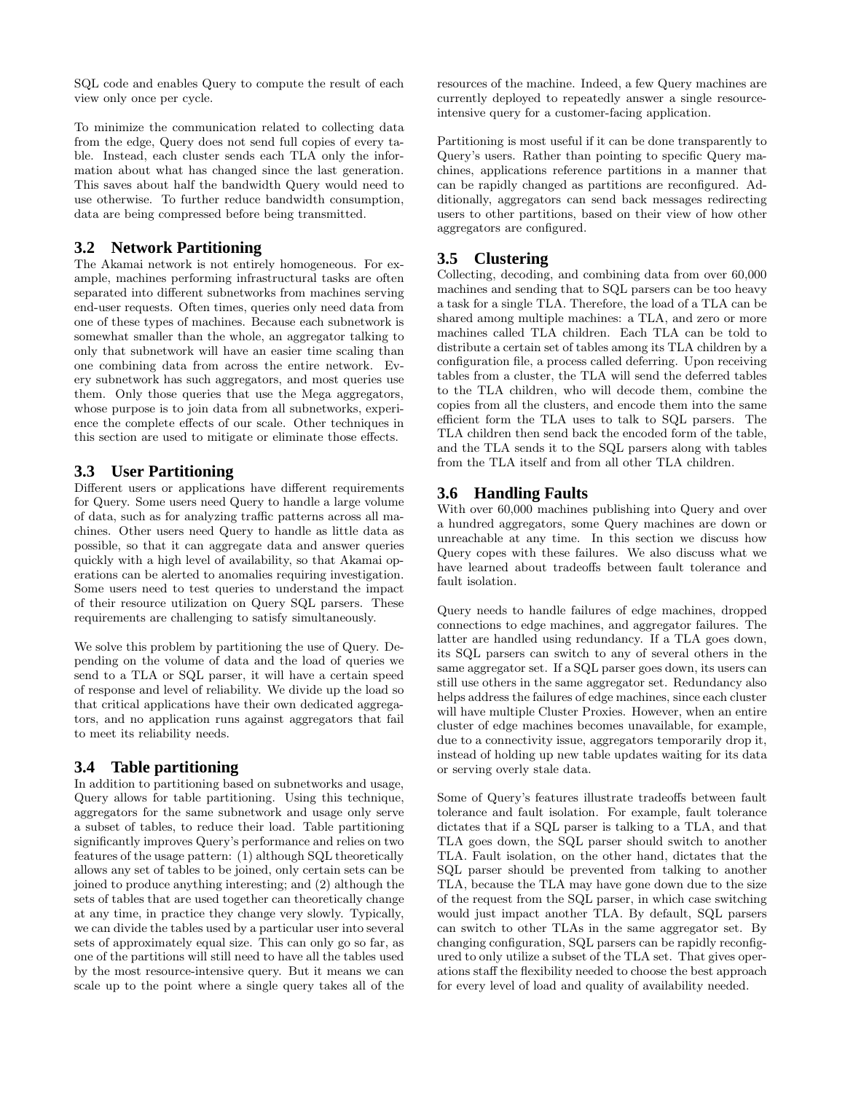SQL code and enables Query to compute the result of each view only once per cycle.

To minimize the communication related to collecting data from the edge, Query does not send full copies of every table. Instead, each cluster sends each TLA only the information about what has changed since the last generation. This saves about half the bandwidth Query would need to use otherwise. To further reduce bandwidth consumption, data are being compressed before being transmitted.

#### **3.2 Network Partitioning**

The Akamai network is not entirely homogeneous. For example, machines performing infrastructural tasks are often separated into different subnetworks from machines serving end-user requests. Often times, queries only need data from one of these types of machines. Because each subnetwork is somewhat smaller than the whole, an aggregator talking to only that subnetwork will have an easier time scaling than one combining data from across the entire network. Every subnetwork has such aggregators, and most queries use them. Only those queries that use the Mega aggregators, whose purpose is to join data from all subnetworks, experience the complete effects of our scale. Other techniques in this section are used to mitigate or eliminate those effects.

#### **3.3 User Partitioning**

Different users or applications have different requirements for Query. Some users need Query to handle a large volume of data, such as for analyzing traffic patterns across all machines. Other users need Query to handle as little data as possible, so that it can aggregate data and answer queries quickly with a high level of availability, so that Akamai operations can be alerted to anomalies requiring investigation. Some users need to test queries to understand the impact of their resource utilization on Query SQL parsers. These requirements are challenging to satisfy simultaneously.

We solve this problem by partitioning the use of Query. Depending on the volume of data and the load of queries we send to a TLA or SQL parser, it will have a certain speed of response and level of reliability. We divide up the load so that critical applications have their own dedicated aggregators, and no application runs against aggregators that fail to meet its reliability needs.

## **3.4 Table partitioning**

In addition to partitioning based on subnetworks and usage, Query allows for table partitioning. Using this technique, aggregators for the same subnetwork and usage only serve a subset of tables, to reduce their load. Table partitioning significantly improves Query's performance and relies on two features of the usage pattern: (1) although SQL theoretically allows any set of tables to be joined, only certain sets can be joined to produce anything interesting; and (2) although the sets of tables that are used together can theoretically change at any time, in practice they change very slowly. Typically, we can divide the tables used by a particular user into several sets of approximately equal size. This can only go so far, as one of the partitions will still need to have all the tables used by the most resource-intensive query. But it means we can scale up to the point where a single query takes all of the resources of the machine. Indeed, a few Query machines are currently deployed to repeatedly answer a single resourceintensive query for a customer-facing application.

Partitioning is most useful if it can be done transparently to Query's users. Rather than pointing to specific Query machines, applications reference partitions in a manner that can be rapidly changed as partitions are reconfigured. Additionally, aggregators can send back messages redirecting users to other partitions, based on their view of how other aggregators are configured.

## **3.5 Clustering**

Collecting, decoding, and combining data from over 60,000 machines and sending that to SQL parsers can be too heavy a task for a single TLA. Therefore, the load of a TLA can be shared among multiple machines: a TLA, and zero or more machines called TLA children. Each TLA can be told to distribute a certain set of tables among its TLA children by a configuration file, a process called deferring. Upon receiving tables from a cluster, the TLA will send the deferred tables to the TLA children, who will decode them, combine the copies from all the clusters, and encode them into the same efficient form the TLA uses to talk to SQL parsers. The TLA children then send back the encoded form of the table, and the TLA sends it to the SQL parsers along with tables from the TLA itself and from all other TLA children.

## **3.6 Handling Faults**

With over 60,000 machines publishing into Query and over a hundred aggregators, some Query machines are down or unreachable at any time. In this section we discuss how Query copes with these failures. We also discuss what we have learned about tradeoffs between fault tolerance and fault isolation.

Query needs to handle failures of edge machines, dropped connections to edge machines, and aggregator failures. The latter are handled using redundancy. If a TLA goes down, its SQL parsers can switch to any of several others in the same aggregator set. If a SQL parser goes down, its users can still use others in the same aggregator set. Redundancy also helps address the failures of edge machines, since each cluster will have multiple Cluster Proxies. However, when an entire cluster of edge machines becomes unavailable, for example, due to a connectivity issue, aggregators temporarily drop it, instead of holding up new table updates waiting for its data or serving overly stale data.

Some of Query's features illustrate tradeoffs between fault tolerance and fault isolation. For example, fault tolerance dictates that if a SQL parser is talking to a TLA, and that TLA goes down, the SQL parser should switch to another TLA. Fault isolation, on the other hand, dictates that the SQL parser should be prevented from talking to another TLA, because the TLA may have gone down due to the size of the request from the SQL parser, in which case switching would just impact another TLA. By default, SQL parsers can switch to other TLAs in the same aggregator set. By changing configuration, SQL parsers can be rapidly reconfigured to only utilize a subset of the TLA set. That gives operations staff the flexibility needed to choose the best approach for every level of load and quality of availability needed.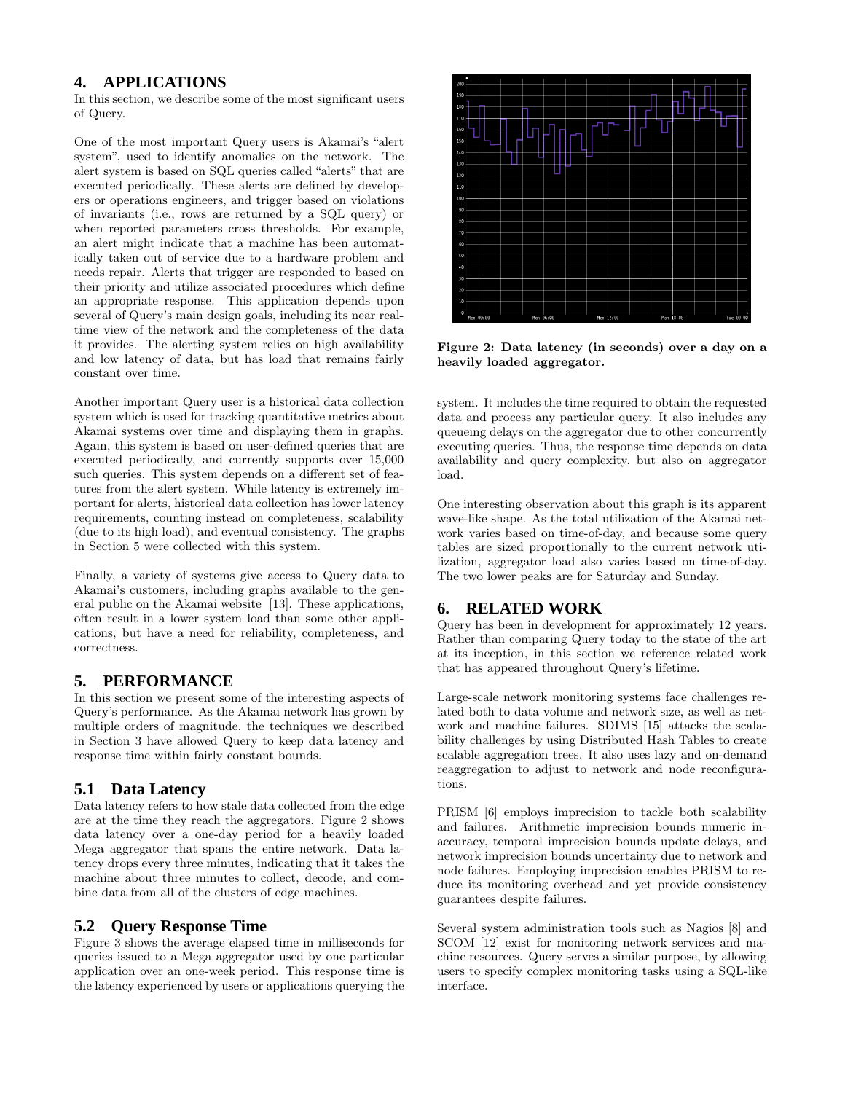# **4. APPLICATIONS**

In this section, we describe some of the most significant users of Query.

One of the most important Query users is Akamai's "alert system", used to identify anomalies on the network. The alert system is based on SQL queries called "alerts" that are executed periodically. These alerts are defined by developers or operations engineers, and trigger based on violations of invariants (i.e., rows are returned by a SQL query) or when reported parameters cross thresholds. For example, an alert might indicate that a machine has been automatically taken out of service due to a hardware problem and needs repair. Alerts that trigger are responded to based on their priority and utilize associated procedures which define an appropriate response. This application depends upon several of Query's main design goals, including its near realtime view of the network and the completeness of the data it provides. The alerting system relies on high availability and low latency of data, but has load that remains fairly constant over time.

Another important Query user is a historical data collection system which is used for tracking quantitative metrics about Akamai systems over time and displaying them in graphs. Again, this system is based on user-defined queries that are executed periodically, and currently supports over 15,000 such queries. This system depends on a different set of features from the alert system. While latency is extremely important for alerts, historical data collection has lower latency requirements, counting instead on completeness, scalability (due to its high load), and eventual consistency. The graphs in Section 5 were collected with this system.

Finally, a variety of systems give access to Query data to Akamai's customers, including graphs available to the general public on the Akamai website [13]. These applications, often result in a lower system load than some other applications, but have a need for reliability, completeness, and correctness.

## **5. PERFORMANCE**

In this section we present some of the interesting aspects of Query's performance. As the Akamai network has grown by multiple orders of magnitude, the techniques we described in Section 3 have allowed Query to keep data latency and response time within fairly constant bounds.

## **5.1 Data Latency**

Data latency refers to how stale data collected from the edge are at the time they reach the aggregators. Figure 2 shows data latency over a one-day period for a heavily loaded Mega aggregator that spans the entire network. Data latency drops every three minutes, indicating that it takes the machine about three minutes to collect, decode, and combine data from all of the clusters of edge machines.

# **5.2 Query Response Time**

Figure 3 shows the average elapsed time in milliseconds for queries issued to a Mega aggregator used by one particular application over an one-week period. This response time is the latency experienced by users or applications querying the



Figure 2: Data latency (in seconds) over a day on a heavily loaded aggregator.

system. It includes the time required to obtain the requested data and process any particular query. It also includes any queueing delays on the aggregator due to other concurrently executing queries. Thus, the response time depends on data availability and query complexity, but also on aggregator load.

One interesting observation about this graph is its apparent wave-like shape. As the total utilization of the Akamai network varies based on time-of-day, and because some query tables are sized proportionally to the current network utilization, aggregator load also varies based on time-of-day. The two lower peaks are for Saturday and Sunday.

# **6. RELATED WORK**

Query has been in development for approximately 12 years. Rather than comparing Query today to the state of the art at its inception, in this section we reference related work that has appeared throughout Query's lifetime.

Large-scale network monitoring systems face challenges related both to data volume and network size, as well as network and machine failures. SDIMS [15] attacks the scalability challenges by using Distributed Hash Tables to create scalable aggregation trees. It also uses lazy and on-demand reaggregation to adjust to network and node reconfigurations.

PRISM [6] employs imprecision to tackle both scalability and failures. Arithmetic imprecision bounds numeric inaccuracy, temporal imprecision bounds update delays, and network imprecision bounds uncertainty due to network and node failures. Employing imprecision enables PRISM to reduce its monitoring overhead and yet provide consistency guarantees despite failures.

Several system administration tools such as Nagios [8] and SCOM [12] exist for monitoring network services and machine resources. Query serves a similar purpose, by allowing users to specify complex monitoring tasks using a SQL-like interface.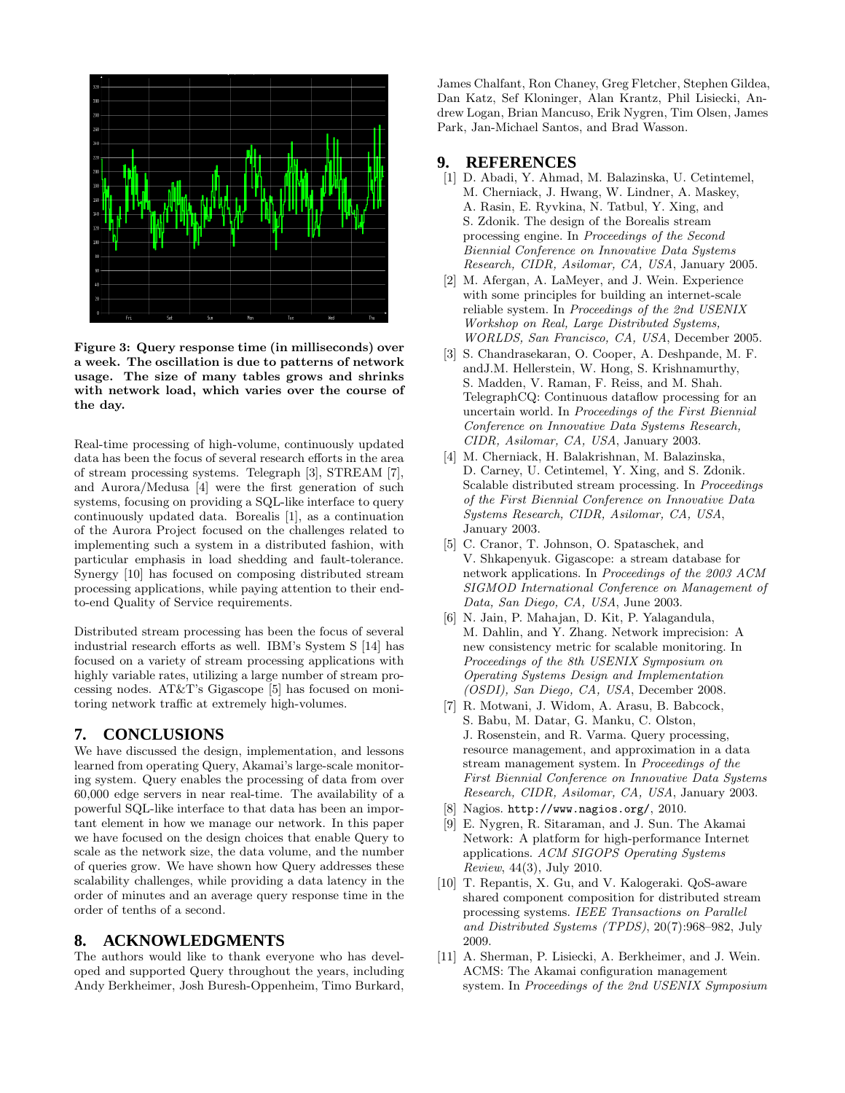

Figure 3: Query response time (in milliseconds) over a week. The oscillation is due to patterns of network usage. The size of many tables grows and shrinks with network load, which varies over the course of the day.

Real-time processing of high-volume, continuously updated data has been the focus of several research efforts in the area of stream processing systems. Telegraph [3], STREAM [7], and Aurora/Medusa [4] were the first generation of such systems, focusing on providing a SQL-like interface to query continuously updated data. Borealis [1], as a continuation of the Aurora Project focused on the challenges related to implementing such a system in a distributed fashion, with particular emphasis in load shedding and fault-tolerance. Synergy [10] has focused on composing distributed stream processing applications, while paying attention to their endto-end Quality of Service requirements.

Distributed stream processing has been the focus of several industrial research efforts as well. IBM's System S [14] has focused on a variety of stream processing applications with highly variable rates, utilizing a large number of stream processing nodes. AT&T's Gigascope [5] has focused on monitoring network traffic at extremely high-volumes.

#### **7. CONCLUSIONS**

We have discussed the design, implementation, and lessons learned from operating Query, Akamai's large-scale monitoring system. Query enables the processing of data from over 60,000 edge servers in near real-time. The availability of a powerful SQL-like interface to that data has been an important element in how we manage our network. In this paper we have focused on the design choices that enable Query to scale as the network size, the data volume, and the number of queries grow. We have shown how Query addresses these scalability challenges, while providing a data latency in the order of minutes and an average query response time in the order of tenths of a second.

## **8. ACKNOWLEDGMENTS**

The authors would like to thank everyone who has developed and supported Query throughout the years, including Andy Berkheimer, Josh Buresh-Oppenheim, Timo Burkard,

James Chalfant, Ron Chaney, Greg Fletcher, Stephen Gildea, Dan Katz, Sef Kloninger, Alan Krantz, Phil Lisiecki, Andrew Logan, Brian Mancuso, Erik Nygren, Tim Olsen, James Park, Jan-Michael Santos, and Brad Wasson.

#### **9. REFERENCES**

- [1] D. Abadi, Y. Ahmad, M. Balazinska, U. Cetintemel, M. Cherniack, J. Hwang, W. Lindner, A. Maskey, A. Rasin, E. Ryvkina, N. Tatbul, Y. Xing, and S. Zdonik. The design of the Borealis stream processing engine. In Proceedings of the Second Biennial Conference on Innovative Data Systems Research, CIDR, Asilomar, CA, USA, January 2005.
- [2] M. Afergan, A. LaMeyer, and J. Wein. Experience with some principles for building an internet-scale reliable system. In Proceedings of the 2nd USENIX Workshop on Real, Large Distributed Systems, WORLDS, San Francisco, CA, USA, December 2005.
- [3] S. Chandrasekaran, O. Cooper, A. Deshpande, M. F. andJ.M. Hellerstein, W. Hong, S. Krishnamurthy, S. Madden, V. Raman, F. Reiss, and M. Shah. TelegraphCQ: Continuous dataflow processing for an uncertain world. In Proceedings of the First Biennial Conference on Innovative Data Systems Research, CIDR, Asilomar, CA, USA, January 2003.
- [4] M. Cherniack, H. Balakrishnan, M. Balazinska, D. Carney, U. Cetintemel, Y. Xing, and S. Zdonik. Scalable distributed stream processing. In Proceedings of the First Biennial Conference on Innovative Data Systems Research, CIDR, Asilomar, CA, USA, January 2003.
- [5] C. Cranor, T. Johnson, O. Spataschek, and V. Shkapenyuk. Gigascope: a stream database for network applications. In Proceedings of the 2003 ACM SIGMOD International Conference on Management of Data, San Diego, CA, USA, June 2003.
- [6] N. Jain, P. Mahajan, D. Kit, P. Yalagandula, M. Dahlin, and Y. Zhang. Network imprecision: A new consistency metric for scalable monitoring. In Proceedings of the 8th USENIX Symposium on Operating Systems Design and Implementation (OSDI), San Diego, CA, USA, December 2008.
- [7] R. Motwani, J. Widom, A. Arasu, B. Babcock, S. Babu, M. Datar, G. Manku, C. Olston, J. Rosenstein, and R. Varma. Query processing, resource management, and approximation in a data stream management system. In Proceedings of the First Biennial Conference on Innovative Data Systems Research, CIDR, Asilomar, CA, USA, January 2003.
- $[8]$  Nagios. http://www.nagios.org/, 2010.
- [9] E. Nygren, R. Sitaraman, and J. Sun. The Akamai Network: A platform for high-performance Internet applications. ACM SIGOPS Operating Systems Review, 44(3), July 2010.
- [10] T. Repantis, X. Gu, and V. Kalogeraki. QoS-aware shared component composition for distributed stream processing systems. IEEE Transactions on Parallel and Distributed Systems (TPDS), 20(7):968–982, July 2009.
- [11] A. Sherman, P. Lisiecki, A. Berkheimer, and J. Wein. ACMS: The Akamai configuration management system. In Proceedings of the 2nd USENIX Symposium